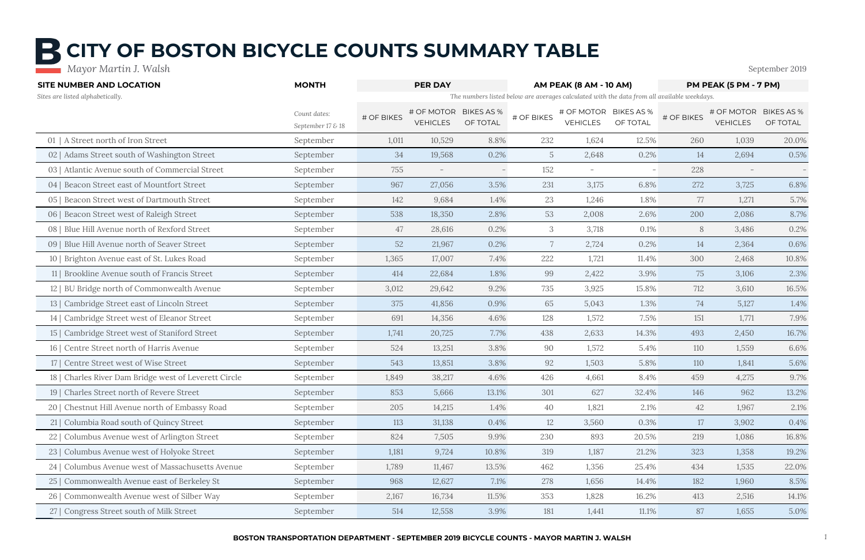| <b>SITE NUMBER AND LOCATION</b>                       | <b>MONTH</b>                      | <b>PER DAY</b> |                                          |          |                 | AM PEAK (8 AM - 10 AM)                   |          | PM PEAK (5 PM - 7 PM)                                                                       |                               |                               |
|-------------------------------------------------------|-----------------------------------|----------------|------------------------------------------|----------|-----------------|------------------------------------------|----------|---------------------------------------------------------------------------------------------|-------------------------------|-------------------------------|
| Sites are listed alphabetically.                      |                                   |                |                                          |          |                 |                                          |          | The numbers listed below are averages calculated with the data from all available weekdays. |                               |                               |
|                                                       | Count dates:<br>September 17 & 18 | # OF BIKES     | # OF MOTOR BIKES AS %<br><b>VEHICLES</b> | OF TOTAL | # OF BIKES      | # OF MOTOR BIKES AS %<br><b>VEHICLES</b> | OF TOTAL | # OF BIKES                                                                                  | # OF MOTOR<br><b>VEHICLES</b> | <b>BIKES AS %</b><br>OF TOTAL |
| 01   A Street north of Iron Street                    | September                         | 1,011          | 10,529                                   | 8.8%     | 232             | 1,624                                    | 12.5%    | 260                                                                                         | 1,039                         | 20.0%                         |
| 02   Adams Street south of Washington Street          | September                         | 34             | 19,568                                   | 0.2%     | $5\overline{)}$ | 2,648                                    | 0.2%     | 14                                                                                          | 2,694                         | 0.5%                          |
| 03   Atlantic Avenue south of Commercial Street       | September                         | 755            | $\overline{\phantom{m}}$                 |          | 152             | $\overline{\phantom{m}}$                 |          | 228                                                                                         |                               |                               |
| 04   Beacon Street east of Mountfort Street           | September                         | 967            | 27,056                                   | 3.5%     | 231             | 3,175                                    | 6.8%     | 272                                                                                         | 3,725                         | 6.8%                          |
| 05   Beacon Street west of Dartmouth Street           | September                         | 142            | 9,684                                    | 1.4%     | 23              | 1,246                                    | 1.8%     | 77                                                                                          | 1,271                         | 5.7%                          |
| 06   Beacon Street west of Raleigh Street             | September                         | 538            | 18,350                                   | 2.8%     | 53              | 2,008                                    | 2.6%     | 200                                                                                         | 2,086                         | 8.7%                          |
| 08   Blue Hill Avenue north of Rexford Street         | September                         | 47             | 28,616                                   | 0.2%     | 3               | 3,718                                    | 0.1%     | 8                                                                                           | 3,486                         | 0.2%                          |
| 09   Blue Hill Avenue north of Seaver Street          | September                         | 52             | 21,967                                   | 0.2%     |                 | 2,724                                    | 0.2%     | 14                                                                                          | 2,364                         | 0.6%                          |
| 10   Brighton Avenue east of St. Lukes Road           | September                         | 1,365          | 17,007                                   | 7.4%     | 222             | 1,721                                    | 11.4%    | 300                                                                                         | 2,468                         | 10.8%                         |
| 11   Brookline Avenue south of Francis Street         | September                         | 414            | 22,684                                   | 1.8%     | 99              | 2,422                                    | 3.9%     | 75                                                                                          | 3,106                         | 2.3%                          |
| 12   BU Bridge north of Commonwealth Avenue           | September                         | 3,012          | 29,642                                   | 9.2%     | 735             | 3,925                                    | 15.8%    | 712                                                                                         | 3,610                         | 16.5%                         |
| 13   Cambridge Street east of Lincoln Street          | September                         | 375            | 41,856                                   | 0.9%     | 65              | 5,043                                    | 1.3%     | 74                                                                                          | 5,127                         | 1.4%                          |
| 14   Cambridge Street west of Eleanor Street          | September                         | 691            | 14,356                                   | 4.6%     | 128             | 1,572                                    | 7.5%     | 151                                                                                         | 1,771                         | 7.9%                          |
| 15   Cambridge Street west of Staniford Street        | September                         | 1,741          | 20,725                                   | 7.7%     | 438             | 2,633                                    | 14.3%    | 493                                                                                         | 2,450                         | 16.7%                         |
| 16   Centre Street north of Harris Avenue             | September                         | 524            | 13,251                                   | 3.8%     | 90              | 1,572                                    | 5.4%     | 110                                                                                         | 1,559                         | 6.6%                          |
| 17   Centre Street west of Wise Street                | September                         | 543            | 13,851                                   | 3.8%     | 92              | 1,503                                    | 5.8%     | 110                                                                                         | 1,841                         | 5.6%                          |
| 18   Charles River Dam Bridge west of Leverett Circle | September                         | 1,849          | 38,217                                   | 4.6%     | 426             | 4,661                                    | 8.4%     | 459                                                                                         | 4,275                         | 9.7%                          |
| 19   Charles Street north of Revere Street            | September                         | 853            | 5,666                                    | 13.1%    | 301             | 627                                      | 32.4%    | 146                                                                                         | 962                           | 13.2%                         |
| 20   Chestnut Hill Avenue north of Embassy Road       | September                         | 205            | 14,215                                   | 1.4%     | 40              | 1,821                                    | 2.1%     | 42                                                                                          | 1,967                         | 2.1%                          |
| 21   Columbia Road south of Quincy Street             | September                         | 113            | 31,138                                   | 0.4%     | 12              | 3,560                                    | 0.3%     | 17                                                                                          | 3,902                         | 0.4%                          |
| 22   Columbus Avenue west of Arlington Street         | September                         | 824            | 7,505                                    | 9.9%     | 230             | 893                                      | 20.5%    | 219                                                                                         | 1,086                         | 16.8%                         |
| 23   Columbus Avenue west of Holyoke Street           | September                         | 1,181          | 9,724                                    | 10.8%    | 319             | 1,187                                    | 21.2%    | 323                                                                                         | 1,358                         | 19.2%                         |
| 24   Columbus Avenue west of Massachusetts Avenue     | September                         | 1,789          | 11,467                                   | 13.5%    | 462             | 1,356                                    | 25.4%    | 434                                                                                         | 1,535                         | 22.0%                         |
| 25   Commonwealth Avenue east of Berkeley St          | September                         | 968            | 12,627                                   | 7.1%     | 278             | 1,656                                    | 14.4%    | 182                                                                                         | 1,960                         | 8.5%                          |
| 26   Commonwealth Avenue west of Silber Way           | September                         | 2,167          | 16,734                                   | 11.5%    | 353             | 1,828                                    | 16.2%    | 413                                                                                         | 2,516                         | 14.1%                         |
| 27   Congress Street south of Milk Street             | September                         | 514            | 12,558                                   | 3.9%     | 181             | 1,441                                    | 11.1%    | 87                                                                                          | 1,655                         | 5.0%                          |

# **B CITY OF BOSTON BICYCLE COUNTS SUMMARY TABLE**

 *Mayor Martin J. Walsh* September 2019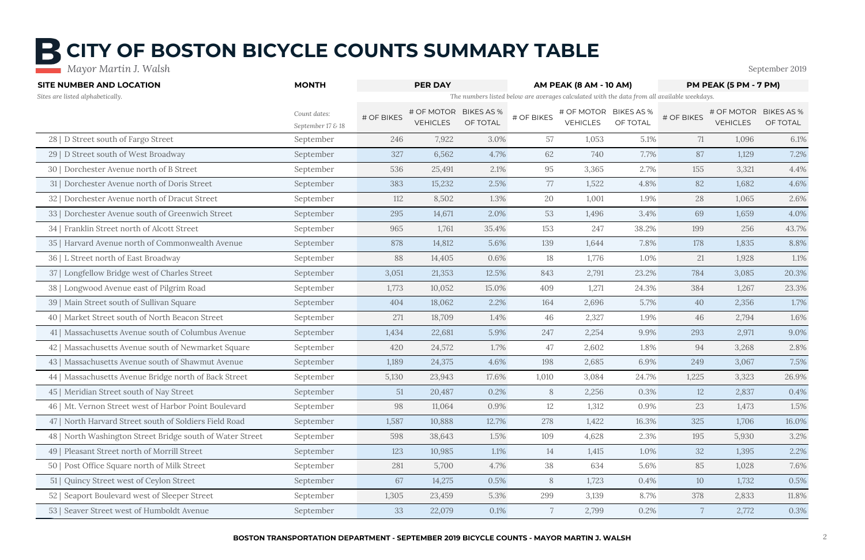| <b>SITE NUMBER AND LOCATION</b>                           | <b>MONTH</b>                      | <b>PER DAY</b> |                                          |          |                 | <b>AM PEAK (8 AM - 10 AM)</b>            |          | PM PEAK (5 PM - 7 PM)<br>The numbers listed below are averages calculated with the data from all available weekdays. |                               |                               |
|-----------------------------------------------------------|-----------------------------------|----------------|------------------------------------------|----------|-----------------|------------------------------------------|----------|----------------------------------------------------------------------------------------------------------------------|-------------------------------|-------------------------------|
| Sites are listed alphabetically.                          |                                   |                |                                          |          |                 |                                          |          |                                                                                                                      |                               |                               |
|                                                           | Count dates:<br>September 17 & 18 | # OF BIKES     | # OF MOTOR BIKES AS %<br><b>VEHICLES</b> | OF TOTAL | # OF BIKES      | # OF MOTOR BIKES AS %<br><b>VEHICLES</b> | OF TOTAL | # OF BIKES                                                                                                           | # OF MOTOR<br><b>VEHICLES</b> | <b>BIKES AS %</b><br>OF TOTAL |
| 28   D Street south of Fargo Street                       | September                         | 246            | 7,922                                    | 3.0%     | 57              | 1,053                                    | 5.1%     | 71                                                                                                                   | 1,096                         | 6.1%                          |
| 29   D Street south of West Broadway                      | September                         | 327            | 6,562                                    | 4.7%     | 62              | 740                                      | 7.7%     | 87                                                                                                                   | 1,129                         | 7.2%                          |
| 30   Dorchester Avenue north of B Street                  | September                         | 536            | 25,491                                   | 2.1%     | 95              | 3,365                                    | 2.7%     | 155                                                                                                                  | 3,321                         | 4.4%                          |
| 31   Dorchester Avenue north of Doris Street              | September                         | 383            | 15,232                                   | 2.5%     | 77              | 1,522                                    | 4.8%     | 82                                                                                                                   | 1,682                         | 4.6%                          |
| 32   Dorchester Avenue north of Dracut Street             | September                         | 112            | 8,502                                    | 1.3%     | 20              | 1,001                                    | 1.9%     | 28                                                                                                                   | 1,065                         | 2.6%                          |
| 33   Dorchester Avenue south of Greenwich Street          | September                         | 295            | 14,671                                   | 2.0%     | 53              | 1,496                                    | 3.4%     | 69                                                                                                                   | 1,659                         | 4.0%                          |
| 34   Franklin Street north of Alcott Street               | September                         | 965            | 1,761                                    | 35.4%    | 153             | 247                                      | 38.2%    | 199                                                                                                                  | 256                           | 43.7%                         |
| 35   Harvard Avenue north of Commonwealth Avenue          | September                         | 878            | 14,812                                   | 5.6%     | 139             | 1,644                                    | 7.8%     | 178                                                                                                                  | 1,835                         | 8.8%                          |
| 36   L Street north of East Broadway                      | September                         | 88             | 14,405                                   | 0.6%     | 18              | 1,776                                    | 1.0%     | 21                                                                                                                   | 1,928                         | 1.1%                          |
| 37   Longfellow Bridge west of Charles Street             | September                         | 3,051          | 21,353                                   | 12.5%    | 843             | 2,791                                    | 23.2%    | 784                                                                                                                  | 3,085                         | 20.3%                         |
| 38   Longwood Avenue east of Pilgrim Road                 | September                         | 1,773          | 10,052                                   | 15.0%    | 409             | 1,271                                    | 24.3%    | 384                                                                                                                  | 1,267                         | 23.3%                         |
| 39   Main Street south of Sullivan Square                 | September                         | 404            | 18,062                                   | 2.2%     | 164             | 2,696                                    | 5.7%     | 40                                                                                                                   | 2,356                         | 1.7%                          |
| 40   Market Street south of North Beacon Street           | September                         | 271            | 18,709                                   | 1.4%     | 46              | 2,327                                    | 1.9%     | 46                                                                                                                   | 2,794                         | 1.6%                          |
| 41   Massachusetts Avenue south of Columbus Avenue        | September                         | 1,434          | 22,681                                   | 5.9%     | 247             | 2,254                                    | 9.9%     | 293                                                                                                                  | 2,971                         | 9.0%                          |
| 42   Massachusetts Avenue south of Newmarket Square       | September                         | 420            | 24,572                                   | 1.7%     | 47              | 2,602                                    | 1.8%     | 94                                                                                                                   | 3,268                         | 2.8%                          |
| 43   Massachusetts Avenue south of Shawmut Avenue         | September                         | 1,189          | 24,375                                   | 4.6%     | 198             | 2,685                                    | 6.9%     | 249                                                                                                                  | 3,067                         | 7.5%                          |
| 44   Massachusetts Avenue Bridge north of Back Street     | September                         | 5,130          | 23,943                                   | 17.6%    | 1,010           | 3,084                                    | 24.7%    | 1,225                                                                                                                | 3,323                         | 26.9%                         |
| 45   Meridian Street south of Nay Street                  | September                         | 51             | 20,487                                   | 0.2%     | 8               | 2,256                                    | 0.3%     | 12                                                                                                                   | 2,837                         | 0.4%                          |
| 46   Mt. Vernon Street west of Harbor Point Boulevard     | September                         | 98             | 11,064                                   | 0.9%     | 12              | 1,312                                    | 0.9%     | 23                                                                                                                   | 1,473                         | 1.5%                          |
| 47   North Harvard Street south of Soldiers Field Road    | September                         | 1,587          | 10,888                                   | 12.7%    | 278             | 1,422                                    | 16.3%    | 325                                                                                                                  | 1,706                         | 16.0%                         |
| 48   North Washington Street Bridge south of Water Street | September                         | 598            | 38,643                                   | 1.5%     | 109             | 4,628                                    | 2.3%     | 195                                                                                                                  | 5,930                         | 3.2%                          |
| 49   Pleasant Street north of Morrill Street              | September                         | 123            | 10,985                                   | 1.1%     | 14              | 1,415                                    | 1.0%     | 32                                                                                                                   | 1,395                         | 2.2%                          |
| 50   Post Office Square north of Milk Street              | September                         | 281            | 5,700                                    | 4.7%     | 38              | 634                                      | 5.6%     | 85                                                                                                                   | 1,028                         | 7.6%                          |
| 51   Quincy Street west of Ceylon Street                  | September                         | 67             | 14,275                                   | 0.5%     | 8               | 1,723                                    | $0.4\%$  | 10                                                                                                                   | 1,732                         | 0.5%                          |
| 52   Seaport Boulevard west of Sleeper Street             | September                         | 1,305          | 23,459                                   | 5.3%     | 299             | 3,139                                    | 8.7%     | 378                                                                                                                  | 2,833                         | 11.8%                         |
| 53   Seaver Street west of Humboldt Avenue                | September                         | 33             | 22,079                                   | 0.1%     | $7\phantom{.0}$ | 2,799                                    | 0.2%     | $7\phantom{.0}$                                                                                                      | 2,772                         | 0.3%                          |

## **CITY OF BOSTON BICYCLE COUNTS SUMMARY TABLE**

 *Mayor Martin J. Walsh* September 2019